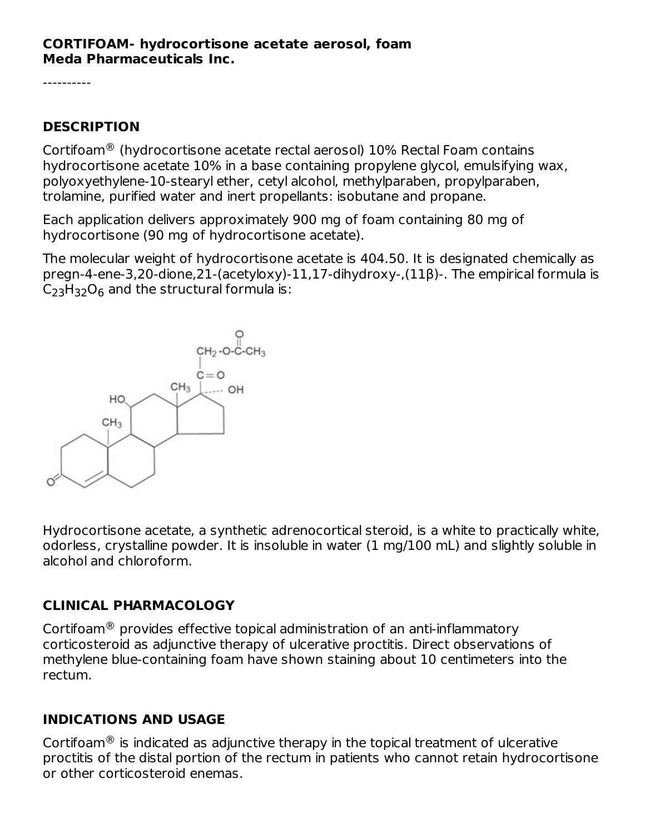#### **CORTIFOAM- hydrocortisone acetate aerosol, foam Meda Pharmaceuticals Inc.**

----------

#### **DESCRIPTION**

Cortifoam $^{\circledR}$  (hydrocortisone acetate rectal aerosol)  $10\%$  Rectal Foam contains hydrocortisone acetate 10% in a base containing propylene glycol, emulsifying wax, polyoxyethylene-10-stearyl ether, cetyl alcohol, methylparaben, propylparaben, trolamine, purified water and inert propellants: isobutane and propane.

Each application delivers approximately 900 mg of foam containing 80 mg of hydrocortisone (90 mg of hydrocortisone acetate).

The molecular weight of hydrocortisone acetate is 404.50. It is designated chemically as pregn-4-ene-3,20-dione,21-(acetyloxy)-11,17-dihydroxy-,(11β)-. The empirical formula is  $\mathsf{C}_{23}\mathsf{H}_{32}\mathsf{O}_6$  and the structural formula is:



Hydrocortisone acetate, a synthetic adrenocortical steroid, is a white to practically white, odorless, crystalline powder. It is insoluble in water (1 mg/100 mL) and slightly soluble in alcohol and chloroform.

#### **CLINICAL PHARMACOLOGY**

Cortifoam $^{\circledR}$  provides effective topical administration of an anti-inflammatory corticosteroid as adjunctive therapy of ulcerative proctitis. Direct observations of methylene blue-containing foam have shown staining about 10 centimeters into the rectum.

#### **INDICATIONS AND USAGE**

Cortifoam $^{\circledR}$  is indicated as adjunctive therapy in the topical treatment of ulcerative proctitis of the distal portion of the rectum in patients who cannot retain hydrocortisone or other corticosteroid enemas.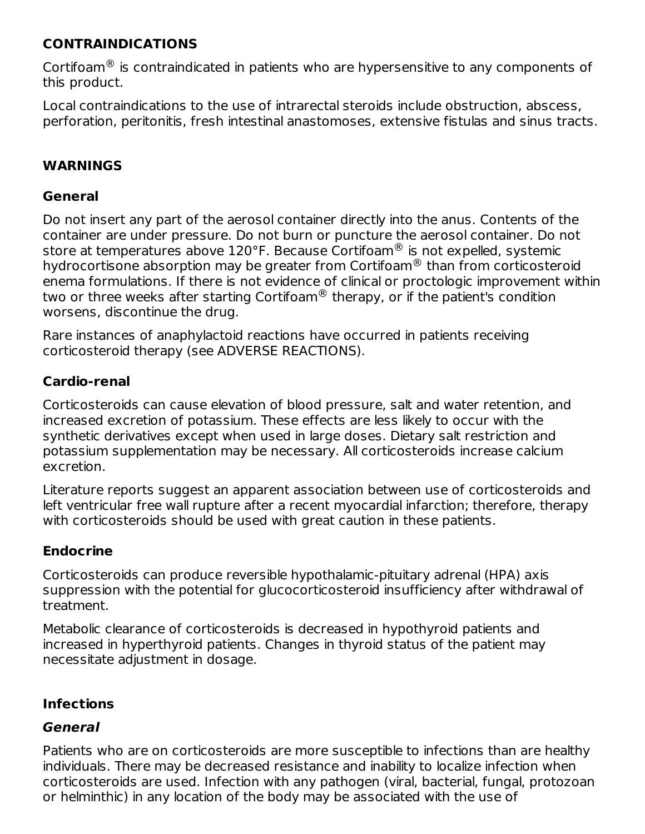## **CONTRAINDICATIONS**

Cortifoam $^{\circledR}$  is contraindicated in patients who are hypersensitive to any components of this product.

Local contraindications to the use of intrarectal steroids include obstruction, abscess, perforation, peritonitis, fresh intestinal anastomoses, extensive fistulas and sinus tracts.

## **WARNINGS**

#### **General**

Do not insert any part of the aerosol container directly into the anus. Contents of the container are under pressure. Do not burn or puncture the aerosol container. Do not store at temperatures above 120°F. Because Cortifoam $^\circledR$  is not expelled, systemic hydrocortisone absorption may be greater from Cortifoam $^\circledR$  than from corticosteroid enema formulations. If there is not evidence of clinical or proctologic improvement within two or three weeks after starting Cortifoam $^\circledR$  therapy, or if the patient's condition worsens, discontinue the drug.

Rare instances of anaphylactoid reactions have occurred in patients receiving corticosteroid therapy (see ADVERSE REACTIONS).

## **Cardio-renal**

Corticosteroids can cause elevation of blood pressure, salt and water retention, and increased excretion of potassium. These effects are less likely to occur with the synthetic derivatives except when used in large doses. Dietary salt restriction and potassium supplementation may be necessary. All corticosteroids increase calcium excretion.

Literature reports suggest an apparent association between use of corticosteroids and left ventricular free wall rupture after a recent myocardial infarction; therefore, therapy with corticosteroids should be used with great caution in these patients.

# **Endocrine**

Corticosteroids can produce reversible hypothalamic-pituitary adrenal (HPA) axis suppression with the potential for glucocorticosteroid insufficiency after withdrawal of treatment.

Metabolic clearance of corticosteroids is decreased in hypothyroid patients and increased in hyperthyroid patients. Changes in thyroid status of the patient may necessitate adjustment in dosage.

### **Infections**

### **General**

Patients who are on corticosteroids are more susceptible to infections than are healthy individuals. There may be decreased resistance and inability to localize infection when corticosteroids are used. Infection with any pathogen (viral, bacterial, fungal, protozoan or helminthic) in any location of the body may be associated with the use of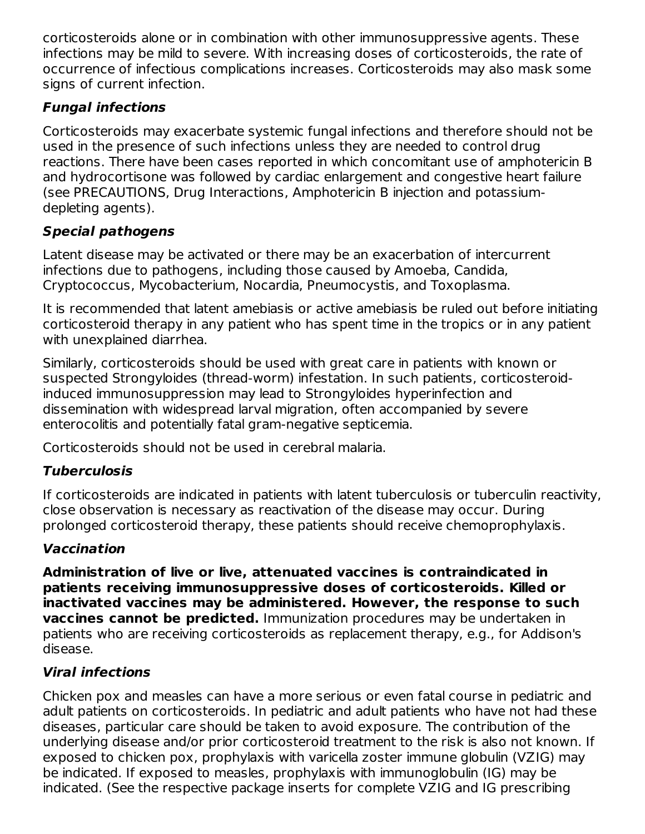corticosteroids alone or in combination with other immunosuppressive agents. These infections may be mild to severe. With increasing doses of corticosteroids, the rate of occurrence of infectious complications increases. Corticosteroids may also mask some signs of current infection.

## **Fungal infections**

Corticosteroids may exacerbate systemic fungal infections and therefore should not be used in the presence of such infections unless they are needed to control drug reactions. There have been cases reported in which concomitant use of amphotericin B and hydrocortisone was followed by cardiac enlargement and congestive heart failure (see PRECAUTIONS, Drug Interactions, Amphotericin B injection and potassiumdepleting agents).

# **Special pathogens**

Latent disease may be activated or there may be an exacerbation of intercurrent infections due to pathogens, including those caused by Amoeba, Candida, Cryptococcus, Mycobacterium, Nocardia, Pneumocystis, and Toxoplasma.

It is recommended that latent amebiasis or active amebiasis be ruled out before initiating corticosteroid therapy in any patient who has spent time in the tropics or in any patient with unexplained diarrhea.

Similarly, corticosteroids should be used with great care in patients with known or suspected Strongyloides (thread-worm) infestation. In such patients, corticosteroidinduced immunosuppression may lead to Strongyloides hyperinfection and dissemination with widespread larval migration, often accompanied by severe enterocolitis and potentially fatal gram-negative septicemia.

Corticosteroids should not be used in cerebral malaria.

# **Tuberculosis**

If corticosteroids are indicated in patients with latent tuberculosis or tuberculin reactivity, close observation is necessary as reactivation of the disease may occur. During prolonged corticosteroid therapy, these patients should receive chemoprophylaxis.

# **Vaccination**

**Administration of live or live, attenuated vaccines is contraindicated in patients receiving immunosuppressive doses of corticosteroids. Killed or inactivated vaccines may be administered. However, the response to such vaccines cannot be predicted.** Immunization procedures may be undertaken in patients who are receiving corticosteroids as replacement therapy, e.g., for Addison's disease.

# **Viral infections**

Chicken pox and measles can have a more serious or even fatal course in pediatric and adult patients on corticosteroids. In pediatric and adult patients who have not had these diseases, particular care should be taken to avoid exposure. The contribution of the underlying disease and/or prior corticosteroid treatment to the risk is also not known. If exposed to chicken pox, prophylaxis with varicella zoster immune globulin (VZIG) may be indicated. If exposed to measles, prophylaxis with immunoglobulin (IG) may be indicated. (See the respective package inserts for complete VZIG and IG prescribing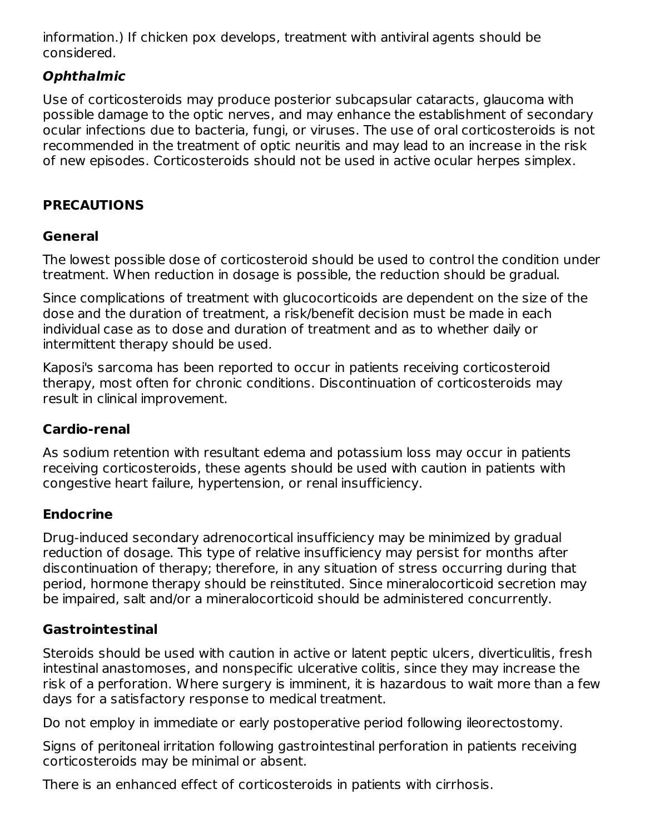information.) If chicken pox develops, treatment with antiviral agents should be considered.

# **Ophthalmic**

Use of corticosteroids may produce posterior subcapsular cataracts, glaucoma with possible damage to the optic nerves, and may enhance the establishment of secondary ocular infections due to bacteria, fungi, or viruses. The use of oral corticosteroids is not recommended in the treatment of optic neuritis and may lead to an increase in the risk of new episodes. Corticosteroids should not be used in active ocular herpes simplex.

## **PRECAUTIONS**

## **General**

The lowest possible dose of corticosteroid should be used to control the condition under treatment. When reduction in dosage is possible, the reduction should be gradual.

Since complications of treatment with glucocorticoids are dependent on the size of the dose and the duration of treatment, a risk/benefit decision must be made in each individual case as to dose and duration of treatment and as to whether daily or intermittent therapy should be used.

Kaposi's sarcoma has been reported to occur in patients receiving corticosteroid therapy, most often for chronic conditions. Discontinuation of corticosteroids may result in clinical improvement.

### **Cardio-renal**

As sodium retention with resultant edema and potassium loss may occur in patients receiving corticosteroids, these agents should be used with caution in patients with congestive heart failure, hypertension, or renal insufficiency.

### **Endocrine**

Drug-induced secondary adrenocortical insufficiency may be minimized by gradual reduction of dosage. This type of relative insufficiency may persist for months after discontinuation of therapy; therefore, in any situation of stress occurring during that period, hormone therapy should be reinstituted. Since mineralocorticoid secretion may be impaired, salt and/or a mineralocorticoid should be administered concurrently.

# **Gastrointestinal**

Steroids should be used with caution in active or latent peptic ulcers, diverticulitis, fresh intestinal anastomoses, and nonspecific ulcerative colitis, since they may increase the risk of a perforation. Where surgery is imminent, it is hazardous to wait more than a few days for a satisfactory response to medical treatment.

Do not employ in immediate or early postoperative period following ileorectostomy.

Signs of peritoneal irritation following gastrointestinal perforation in patients receiving corticosteroids may be minimal or absent.

There is an enhanced effect of corticosteroids in patients with cirrhosis.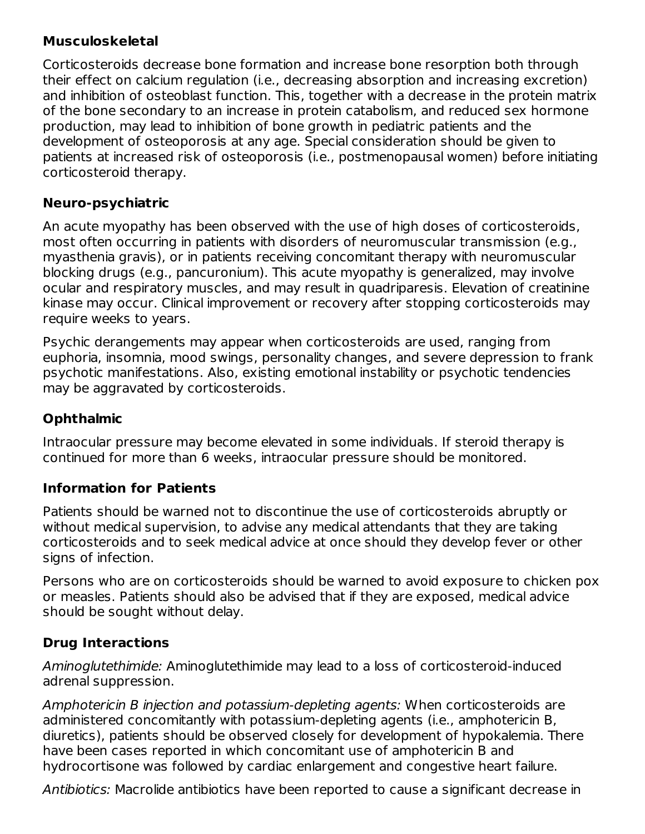#### **Musculoskeletal**

Corticosteroids decrease bone formation and increase bone resorption both through their effect on calcium regulation (i.e., decreasing absorption and increasing excretion) and inhibition of osteoblast function. This, together with a decrease in the protein matrix of the bone secondary to an increase in protein catabolism, and reduced sex hormone production, may lead to inhibition of bone growth in pediatric patients and the development of osteoporosis at any age. Special consideration should be given to patients at increased risk of osteoporosis (i.e., postmenopausal women) before initiating corticosteroid therapy.

#### **Neuro-psychiatric**

An acute myopathy has been observed with the use of high doses of corticosteroids, most often occurring in patients with disorders of neuromuscular transmission (e.g., myasthenia gravis), or in patients receiving concomitant therapy with neuromuscular blocking drugs (e.g., pancuronium). This acute myopathy is generalized, may involve ocular and respiratory muscles, and may result in quadriparesis. Elevation of creatinine kinase may occur. Clinical improvement or recovery after stopping corticosteroids may require weeks to years.

Psychic derangements may appear when corticosteroids are used, ranging from euphoria, insomnia, mood swings, personality changes, and severe depression to frank psychotic manifestations. Also, existing emotional instability or psychotic tendencies may be aggravated by corticosteroids.

## **Ophthalmic**

Intraocular pressure may become elevated in some individuals. If steroid therapy is continued for more than 6 weeks, intraocular pressure should be monitored.

### **Information for Patients**

Patients should be warned not to discontinue the use of corticosteroids abruptly or without medical supervision, to advise any medical attendants that they are taking corticosteroids and to seek medical advice at once should they develop fever or other signs of infection.

Persons who are on corticosteroids should be warned to avoid exposure to chicken pox or measles. Patients should also be advised that if they are exposed, medical advice should be sought without delay.

### **Drug Interactions**

Aminoglutethimide: Aminoglutethimide may lead to a loss of corticosteroid-induced adrenal suppression.

Amphotericin B injection and potassium-depleting agents: When corticosteroids are administered concomitantly with potassium-depleting agents (i.e., amphotericin B, diuretics), patients should be observed closely for development of hypokalemia. There have been cases reported in which concomitant use of amphotericin B and hydrocortisone was followed by cardiac enlargement and congestive heart failure.

Antibiotics: Macrolide antibiotics have been reported to cause a significant decrease in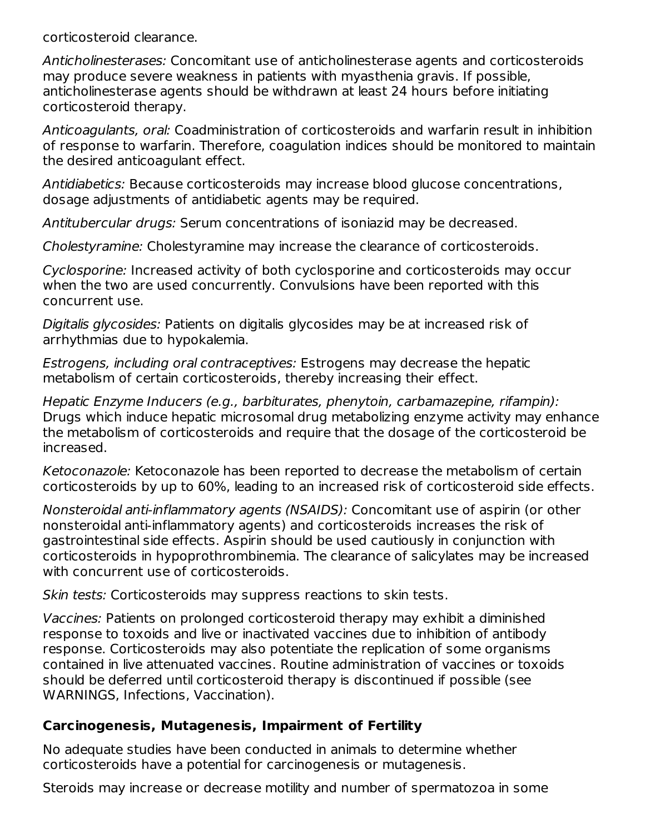corticosteroid clearance.

Anticholinesterases: Concomitant use of anticholinesterase agents and corticosteroids may produce severe weakness in patients with myasthenia gravis. If possible, anticholinesterase agents should be withdrawn at least 24 hours before initiating corticosteroid therapy.

Anticoagulants, oral: Coadministration of corticosteroids and warfarin result in inhibition of response to warfarin. Therefore, coagulation indices should be monitored to maintain the desired anticoagulant effect.

Antidiabetics: Because corticosteroids may increase blood glucose concentrations, dosage adjustments of antidiabetic agents may be required.

Antitubercular drugs: Serum concentrations of isoniazid may be decreased.

Cholestyramine: Cholestyramine may increase the clearance of corticosteroids.

Cyclosporine: Increased activity of both cyclosporine and corticosteroids may occur when the two are used concurrently. Convulsions have been reported with this concurrent use.

Digitalis glycosides: Patients on digitalis glycosides may be at increased risk of arrhythmias due to hypokalemia.

Estrogens, including oral contraceptives: Estrogens may decrease the hepatic metabolism of certain corticosteroids, thereby increasing their effect.

Hepatic Enzyme Inducers (e.g., barbiturates, phenytoin, carbamazepine, rifampin): Drugs which induce hepatic microsomal drug metabolizing enzyme activity may enhance the metabolism of corticosteroids and require that the dosage of the corticosteroid be increased.

Ketoconazole: Ketoconazole has been reported to decrease the metabolism of certain corticosteroids by up to 60%, leading to an increased risk of corticosteroid side effects.

Nonsteroidal anti-inflammatory agents (NSAIDS): Concomitant use of aspirin (or other nonsteroidal anti-inflammatory agents) and corticosteroids increases the risk of gastrointestinal side effects. Aspirin should be used cautiously in conjunction with corticosteroids in hypoprothrombinemia. The clearance of salicylates may be increased with concurrent use of corticosteroids.

Skin tests: Corticosteroids may suppress reactions to skin tests.

Vaccines: Patients on prolonged corticosteroid therapy may exhibit a diminished response to toxoids and live or inactivated vaccines due to inhibition of antibody response. Corticosteroids may also potentiate the replication of some organisms contained in live attenuated vaccines. Routine administration of vaccines or toxoids should be deferred until corticosteroid therapy is discontinued if possible (see WARNINGS, Infections, Vaccination).

### **Carcinogenesis, Mutagenesis, Impairment of Fertility**

No adequate studies have been conducted in animals to determine whether corticosteroids have a potential for carcinogenesis or mutagenesis.

Steroids may increase or decrease motility and number of spermatozoa in some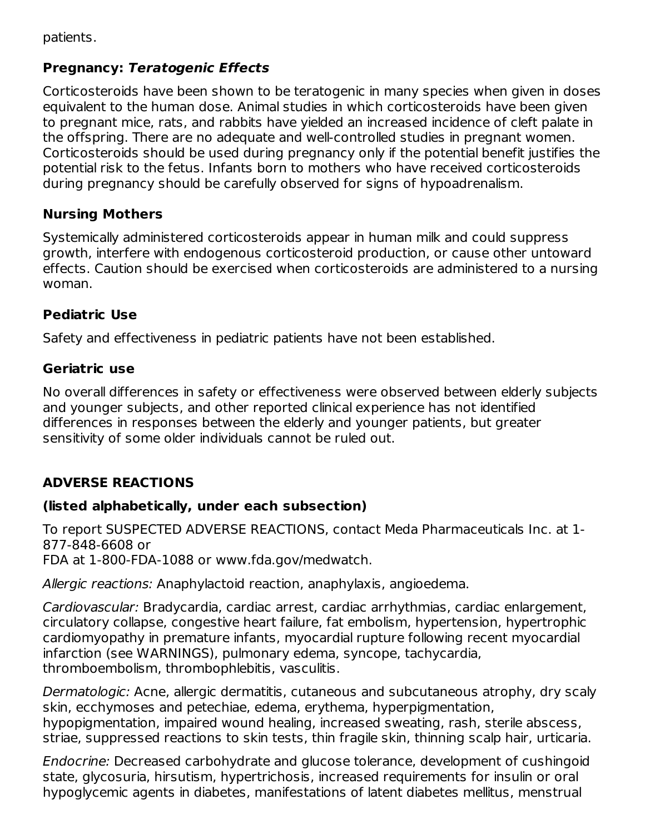patients.

## **Pregnancy: Teratogenic Effects**

Corticosteroids have been shown to be teratogenic in many species when given in doses equivalent to the human dose. Animal studies in which corticosteroids have been given to pregnant mice, rats, and rabbits have yielded an increased incidence of cleft palate in the offspring. There are no adequate and well-controlled studies in pregnant women. Corticosteroids should be used during pregnancy only if the potential benefit justifies the potential risk to the fetus. Infants born to mothers who have received corticosteroids during pregnancy should be carefully observed for signs of hypoadrenalism.

#### **Nursing Mothers**

Systemically administered corticosteroids appear in human milk and could suppress growth, interfere with endogenous corticosteroid production, or cause other untoward effects. Caution should be exercised when corticosteroids are administered to a nursing woman.

### **Pediatric Use**

Safety and effectiveness in pediatric patients have not been established.

#### **Geriatric use**

No overall differences in safety or effectiveness were observed between elderly subjects and younger subjects, and other reported clinical experience has not identified differences in responses between the elderly and younger patients, but greater sensitivity of some older individuals cannot be ruled out.

# **ADVERSE REACTIONS**

### **(listed alphabetically, under each subsection)**

To report SUSPECTED ADVERSE REACTIONS, contact Meda Pharmaceuticals Inc. at 1- 877-848-6608 or FDA at 1-800-FDA-1088 or www.fda.gov/medwatch.

Allergic reactions: Anaphylactoid reaction, anaphylaxis, angioedema.

Cardiovascular: Bradycardia, cardiac arrest, cardiac arrhythmias, cardiac enlargement, circulatory collapse, congestive heart failure, fat embolism, hypertension, hypertrophic cardiomyopathy in premature infants, myocardial rupture following recent myocardial infarction (see WARNINGS), pulmonary edema, syncope, tachycardia, thromboembolism, thrombophlebitis, vasculitis.

Dermatologic: Acne, allergic dermatitis, cutaneous and subcutaneous atrophy, dry scaly skin, ecchymoses and petechiae, edema, erythema, hyperpigmentation, hypopigmentation, impaired wound healing, increased sweating, rash, sterile abscess, striae, suppressed reactions to skin tests, thin fragile skin, thinning scalp hair, urticaria.

Endocrine: Decreased carbohydrate and glucose tolerance, development of cushingoid state, glycosuria, hirsutism, hypertrichosis, increased requirements for insulin or oral hypoglycemic agents in diabetes, manifestations of latent diabetes mellitus, menstrual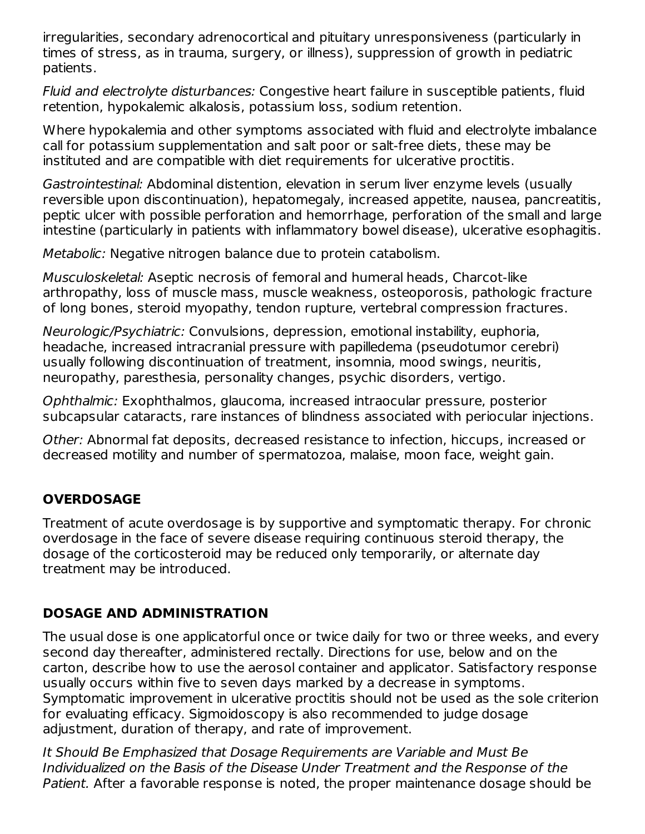irregularities, secondary adrenocortical and pituitary unresponsiveness (particularly in times of stress, as in trauma, surgery, or illness), suppression of growth in pediatric patients.

Fluid and electrolyte disturbances: Congestive heart failure in susceptible patients, fluid retention, hypokalemic alkalosis, potassium loss, sodium retention.

Where hypokalemia and other symptoms associated with fluid and electrolyte imbalance call for potassium supplementation and salt poor or salt-free diets, these may be instituted and are compatible with diet requirements for ulcerative proctitis.

Gastrointestinal: Abdominal distention, elevation in serum liver enzyme levels (usually reversible upon discontinuation), hepatomegaly, increased appetite, nausea, pancreatitis, peptic ulcer with possible perforation and hemorrhage, perforation of the small and large intestine (particularly in patients with inflammatory bowel disease), ulcerative esophagitis.

Metabolic: Negative nitrogen balance due to protein catabolism.

Musculoskeletal: Aseptic necrosis of femoral and humeral heads, Charcot-like arthropathy, loss of muscle mass, muscle weakness, osteoporosis, pathologic fracture of long bones, steroid myopathy, tendon rupture, vertebral compression fractures.

Neurologic/Psychiatric: Convulsions, depression, emotional instability, euphoria, headache, increased intracranial pressure with papilledema (pseudotumor cerebri) usually following discontinuation of treatment, insomnia, mood swings, neuritis, neuropathy, paresthesia, personality changes, psychic disorders, vertigo.

Ophthalmic: Exophthalmos, glaucoma, increased intraocular pressure, posterior subcapsular cataracts, rare instances of blindness associated with periocular injections.

Other: Abnormal fat deposits, decreased resistance to infection, hiccups, increased or decreased motility and number of spermatozoa, malaise, moon face, weight gain.

# **OVERDOSAGE**

Treatment of acute overdosage is by supportive and symptomatic therapy. For chronic overdosage in the face of severe disease requiring continuous steroid therapy, the dosage of the corticosteroid may be reduced only temporarily, or alternate day treatment may be introduced.

### **DOSAGE AND ADMINISTRATION**

The usual dose is one applicatorful once or twice daily for two or three weeks, and every second day thereafter, administered rectally. Directions for use, below and on the carton, describe how to use the aerosol container and applicator. Satisfactory response usually occurs within five to seven days marked by a decrease in symptoms. Symptomatic improvement in ulcerative proctitis should not be used as the sole criterion for evaluating efficacy. Sigmoidoscopy is also recommended to judge dosage adjustment, duration of therapy, and rate of improvement.

It Should Be Emphasized that Dosage Requirements are Variable and Must Be Individualized on the Basis of the Disease Under Treatment and the Response of the Patient. After a favorable response is noted, the proper maintenance dosage should be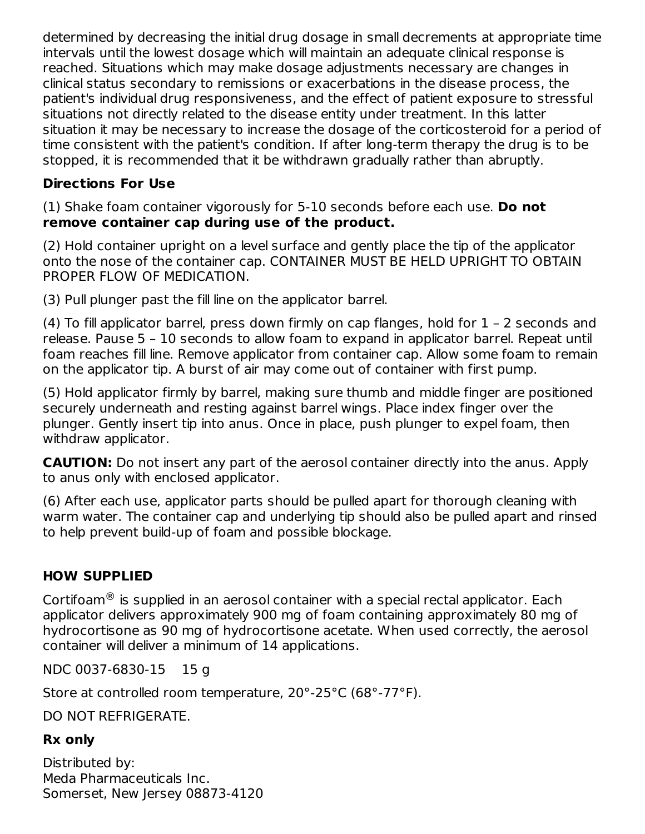determined by decreasing the initial drug dosage in small decrements at appropriate time intervals until the lowest dosage which will maintain an adequate clinical response is reached. Situations which may make dosage adjustments necessary are changes in clinical status secondary to remissions or exacerbations in the disease process, the patient's individual drug responsiveness, and the effect of patient exposure to stressful situations not directly related to the disease entity under treatment. In this latter situation it may be necessary to increase the dosage of the corticosteroid for a period of time consistent with the patient's condition. If after long-term therapy the drug is to be stopped, it is recommended that it be withdrawn gradually rather than abruptly.

## **Directions For Use**

(1) Shake foam container vigorously for 5-10 seconds before each use. **Do not remove container cap during use of the product.**

(2) Hold container upright on a level surface and gently place the tip of the applicator onto the nose of the container cap. CONTAINER MUST BE HELD UPRIGHT TO OBTAIN PROPER FLOW OF MEDICATION.

(3) Pull plunger past the fill line on the applicator barrel.

(4) To fill applicator barrel, press down firmly on cap flanges, hold for 1 – 2 seconds and release. Pause 5 – 10 seconds to allow foam to expand in applicator barrel. Repeat until foam reaches fill line. Remove applicator from container cap. Allow some foam to remain on the applicator tip. A burst of air may come out of container with first pump.

(5) Hold applicator firmly by barrel, making sure thumb and middle finger are positioned securely underneath and resting against barrel wings. Place index finger over the plunger. Gently insert tip into anus. Once in place, push plunger to expel foam, then withdraw applicator.

**CAUTION:** Do not insert any part of the aerosol container directly into the anus. Apply to anus only with enclosed applicator.

(6) After each use, applicator parts should be pulled apart for thorough cleaning with warm water. The container cap and underlying tip should also be pulled apart and rinsed to help prevent build-up of foam and possible blockage.

# **HOW SUPPLIED**

Cortifoam $^\circledR$  is supplied in an aerosol container with a special rectal applicator. Each applicator delivers approximately 900 mg of foam containing approximately 80 mg of hydrocortisone as 90 mg of hydrocortisone acetate. When used correctly, the aerosol container will deliver a minimum of 14 applications.

NDC 0037-6830-15 15 g

Store at controlled room temperature, 20°-25°C (68°-77°F).

DO NOT REFRIGERATE.

### **Rx only**

Distributed by: Meda Pharmaceuticals Inc. Somerset, New Jersey 08873-4120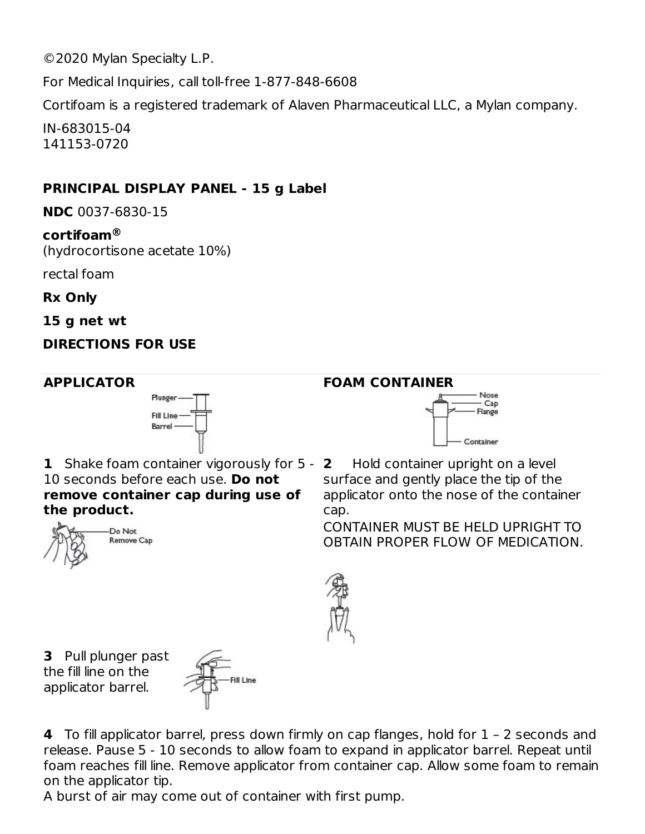©2020 Mylan Specialty L.P.

For Medical Inquiries, call toll-free 1-877-848-6608

Cortifoam is a registered trademark of Alaven Pharmaceutical LLC, a Mylan company.

IN-683015-04 141153-0720

## **PRINCIPAL DISPLAY PANEL - 15 g Label**

**NDC** 0037-6830-15

**cortifoam ®**(hydrocortisone acetate 10%)

rectal foam

**Rx Only**

**15 g net wt**

## **DIRECTIONS FOR USE**

Do Not Remove Cap

### **APPLICATOR FOAM CONTAINER**



**1** Shake foam container vigorously for 5 - 2 10 seconds before each use. **Do not remove container cap during use of the product.**



**2** Hold container upright on a level surface and gently place the tip of the applicator onto the nose of the container cap.

CONTAINER MUST BE HELD UPRIGHT TO OBTAIN PROPER FLOW OF MEDICATION.

**3** Pull plunger past the fill line on the applicator barrel.



**4** To fill applicator barrel, press down firmly on cap flanges, hold for 1 – 2 seconds and release. Pause 5 - 10 seconds to allow foam to expand in applicator barrel. Repeat until foam reaches fill line. Remove applicator from container cap. Allow some foam to remain on the applicator tip.

A burst of air may come out of container with first pump.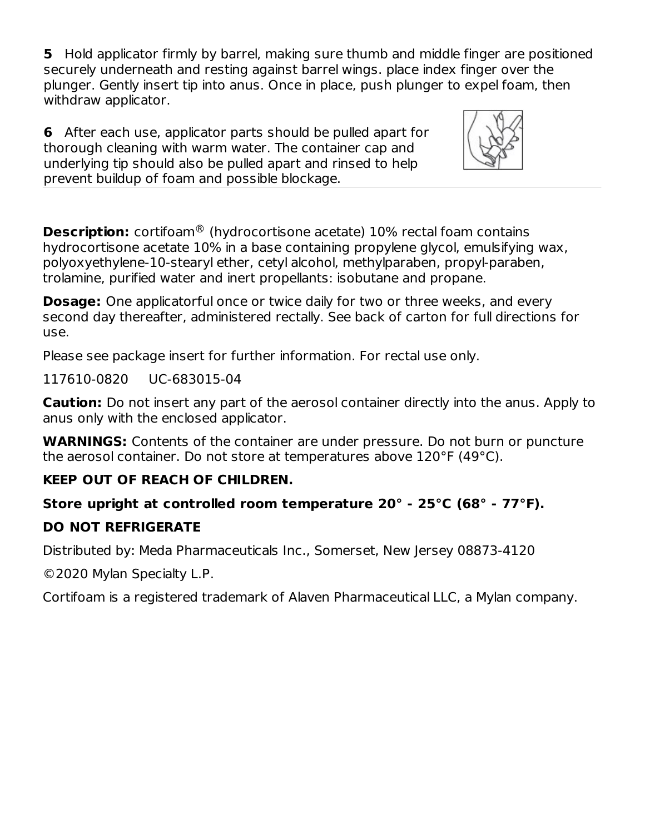**5** Hold applicator firmly by barrel, making sure thumb and middle finger are positioned securely underneath and resting against barrel wings. place index finger over the plunger. Gently insert tip into anus. Once in place, push plunger to expel foam, then withdraw applicator.

**6** After each use, applicator parts should be pulled apart for thorough cleaning with warm water. The container cap and underlying tip should also be pulled apart and rinsed to help prevent buildup of foam and possible blockage.



**Description:** cortifoam<sup>®</sup> (hydrocortisone acetate) 10% rectal foam contains hydrocortisone acetate 10% in a base containing propylene glycol, emulsifying wax, polyoxyethylene-10-stearyl ether, cetyl alcohol, methylparaben, propyl-paraben, trolamine, purified water and inert propellants: isobutane and propane.

**Dosage:** One applicatorful once or twice daily for two or three weeks, and every second day thereafter, administered rectally. See back of carton for full directions for use.

Please see package insert for further information. For rectal use only.

117610-0820 UC-683015-04

**Caution:** Do not insert any part of the aerosol container directly into the anus. Apply to anus only with the enclosed applicator.

**WARNINGS:** Contents of the container are under pressure. Do not burn or puncture the aerosol container. Do not store at temperatures above 120°F (49°C).

# **KEEP OUT OF REACH OF CHILDREN.**

### **Store upright at controlled room temperature 20° - 25°C (68° - 77°F).**

### **DO NOT REFRIGERATE**

Distributed by: Meda Pharmaceuticals Inc., Somerset, New Jersey 08873-4120

©2020 Mylan Specialty L.P.

Cortifoam is a registered trademark of Alaven Pharmaceutical LLC, a Mylan company.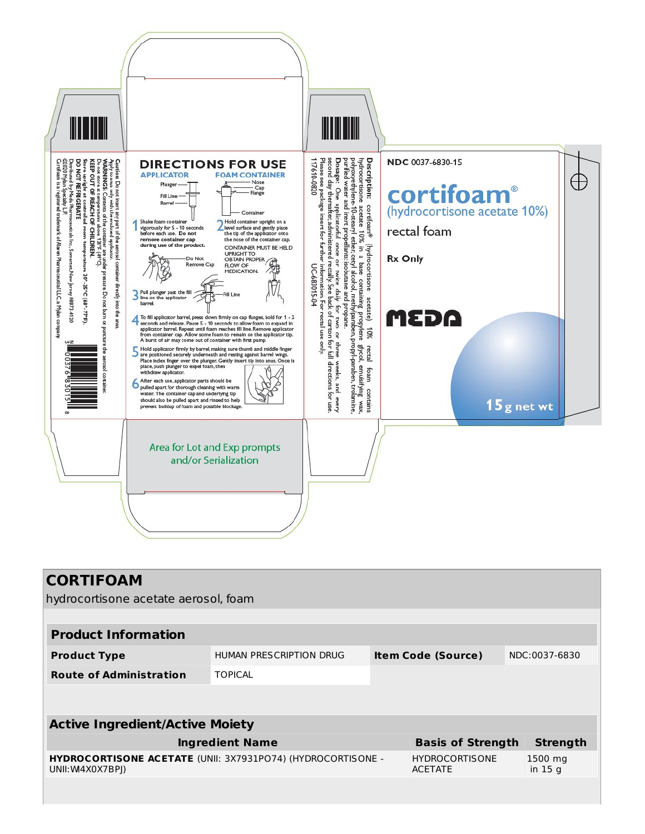

| <b>CORTIFOAM</b>                                                                |                         |                           |                                         |                 |                     |  |  |  |  |  |
|---------------------------------------------------------------------------------|-------------------------|---------------------------|-----------------------------------------|-----------------|---------------------|--|--|--|--|--|
| hydrocortisone acetate aerosol, foam                                            |                         |                           |                                         |                 |                     |  |  |  |  |  |
|                                                                                 |                         |                           |                                         |                 |                     |  |  |  |  |  |
| <b>Product Information</b>                                                      |                         |                           |                                         |                 |                     |  |  |  |  |  |
| <b>Product Type</b>                                                             | HUMAN PRESCRIPTION DRUG | <b>Item Code (Source)</b> |                                         |                 | NDC:0037-6830       |  |  |  |  |  |
| <b>Route of Administration</b>                                                  | <b>TOPICAL</b>          |                           |                                         |                 |                     |  |  |  |  |  |
|                                                                                 |                         |                           |                                         |                 |                     |  |  |  |  |  |
|                                                                                 |                         |                           |                                         |                 |                     |  |  |  |  |  |
| <b>Active Ingredient/Active Moiety</b>                                          |                         |                           |                                         |                 |                     |  |  |  |  |  |
| <b>Ingredient Name</b>                                                          |                         | <b>Basis of Strength</b>  |                                         | <b>Strength</b> |                     |  |  |  |  |  |
| HYDROCORTISONE ACETATE (UNII: 3X7931PO74) (HYDROCORTISONE -<br>UNII: W4X0X7BPI) |                         |                           | <b>HYDROCORTISONE</b><br><b>ACETATE</b> |                 | 1500 mg<br>in $15q$ |  |  |  |  |  |
|                                                                                 |                         |                           |                                         |                 |                     |  |  |  |  |  |
|                                                                                 |                         |                           |                                         |                 |                     |  |  |  |  |  |